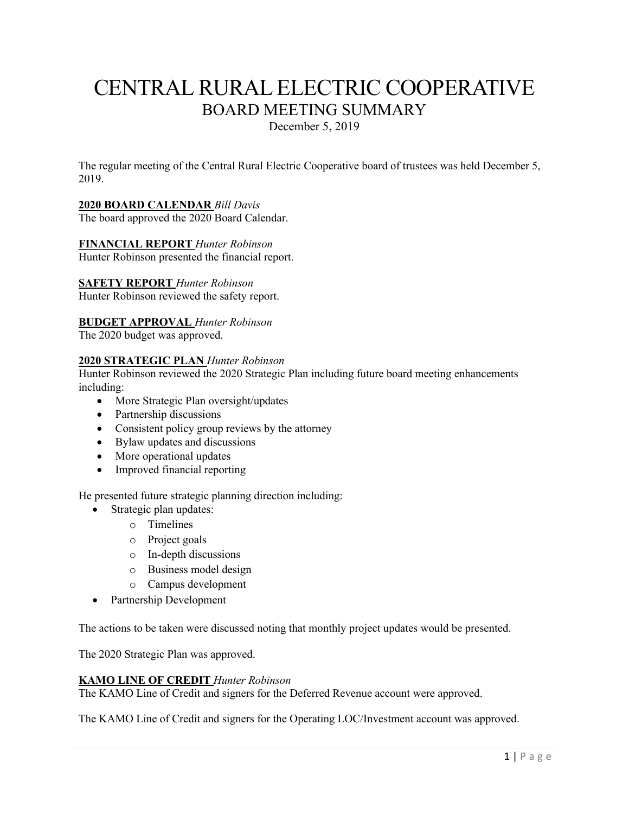# CENTRAL RURAL ELECTRIC COOPERATIVE BOARD MEETING SUMMARY

December 5, 2019

The regular meeting of the Central Rural Electric Cooperative board of trustees was held December 5, 2019.

# **2020 BOARD CALENDAR** *Bill Davis*

The board approved the 2020 Board Calendar.

#### **FINANCIAL REPORT** *Hunter Robinson* Hunter Robinson presented the financial report.

**SAFETY REPORT** *Hunter Robinson*

Hunter Robinson reviewed the safety report.

# **BUDGET APPROVAL** *Hunter Robinson*

The 2020 budget was approved.

# **2020 STRATEGIC PLAN** *Hunter Robinson*

Hunter Robinson reviewed the 2020 Strategic Plan including future board meeting enhancements including:

- More Strategic Plan oversight/updates
- Partnership discussions
- Consistent policy group reviews by the attorney
- Bylaw updates and discussions
- More operational updates
- Improved financial reporting

He presented future strategic planning direction including:

- Strategic plan updates:
	- o Timelines
	- o Project goals
	- o In-depth discussions
	- o Business model design
	- o Campus development
- Partnership Development

The actions to be taken were discussed noting that monthly project updates would be presented.

The 2020 Strategic Plan was approved.

#### **KAMO LINE OF CREDIT** *Hunter Robinson*

The KAMO Line of Credit and signers for the Deferred Revenue account were approved.

The KAMO Line of Credit and signers for the Operating LOC/Investment account was approved.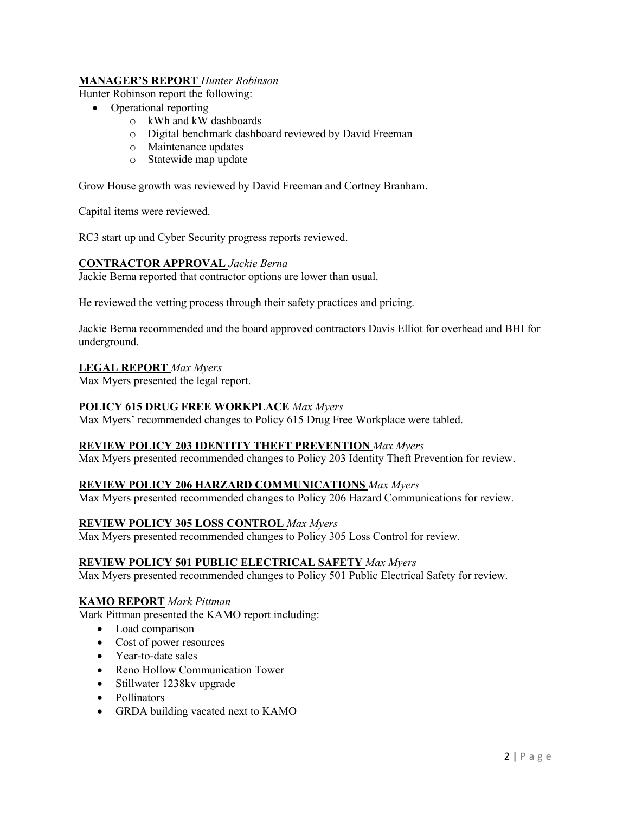# **MANAGER'S REPORT** *Hunter Robinson*

Hunter Robinson report the following:

- Operational reporting
	- o kWh and kW dashboards
	- o Digital benchmark dashboard reviewed by David Freeman
	- o Maintenance updates
	- o Statewide map update

Grow House growth was reviewed by David Freeman and Cortney Branham.

Capital items were reviewed.

RC3 start up and Cyber Security progress reports reviewed.

#### **CONTRACTOR APPROVAL** *Jackie Berna*

Jackie Berna reported that contractor options are lower than usual.

He reviewed the vetting process through their safety practices and pricing.

Jackie Berna recommended and the board approved contractors Davis Elliot for overhead and BHI for underground.

# **LEGAL REPORT** *Max Myers*

Max Myers presented the legal report.

#### **POLICY 615 DRUG FREE WORKPLACE** *Max Myers*

Max Myers' recommended changes to Policy 615 Drug Free Workplace were tabled.

# **REVIEW POLICY 203 IDENTITY THEFT PREVENTION** *Max Myers*

Max Myers presented recommended changes to Policy 203 Identity Theft Prevention for review.

# **REVIEW POLICY 206 HARZARD COMMUNICATIONS** *Max Myers*

Max Myers presented recommended changes to Policy 206 Hazard Communications for review.

# **REVIEW POLICY 305 LOSS CONTROL** *Max Myers*

Max Myers presented recommended changes to Policy 305 Loss Control for review.

#### **REVIEW POLICY 501 PUBLIC ELECTRICAL SAFETY** *Max Myers*

Max Myers presented recommended changes to Policy 501 Public Electrical Safety for review.

#### **KAMO REPORT** *Mark Pittman*

Mark Pittman presented the KAMO report including:

- Load comparison
- Cost of power resources
- Year-to-date sales
- Reno Hollow Communication Tower
- Stillwater 1238 kv upgrade
- Pollinators
- GRDA building vacated next to KAMO